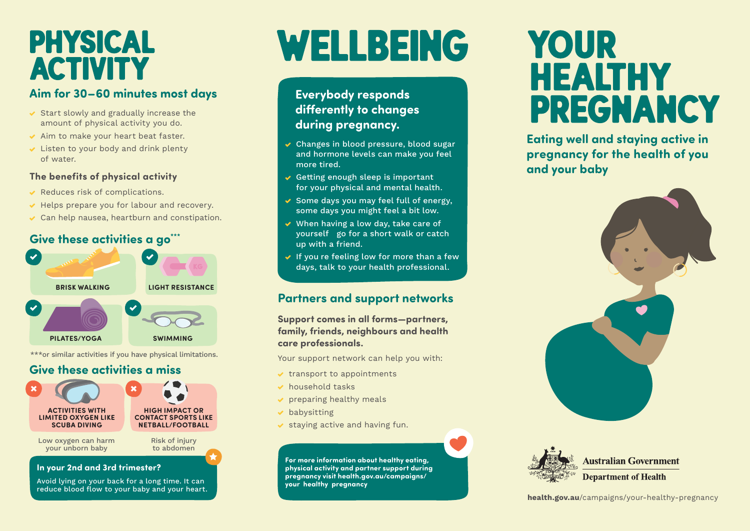### **PHYSICAL ACTIVITY**

#### **Aim for 30–60 minutes most days**

- Start slowly and gradually increase the amount of physical activity you do.
- Aim to make your heart beat faster.
- Listen to your body and drink plenty of water.

#### **The benefits of physical activity**

- Reduces risk of complications.
- Helps prepare you for labour and recovery.
- Can help nausea, heartburn and constipation.

#### **Give these activities a go\*\*\***



\*\*\*or similar activities if you have physical limitations.

### **Give these activities a miss**



#### **In your 2nd and 3rd trimester?**

Avoid lying on your back for a long time. It can reduce blood flow to your baby and your heart.

# WELLBEING

### **Everybody responds diferently to changes during pregnancy.**

- Changes in blood pressure, blood sugar and hormone levels can make you feel more tired.
- Getting enough sleep is important  $\overline{\phantom{a}}$ for your physical and mental health.
- Some days you may feel full of energy, some days you might feel a bit low.
- When having a low day, take care of — yourself go for a short walk or catch up with a friend.
- $\,$  If you re feeling low for more than a few  $\,$ days, talk to your health professional.

#### **Partners and support networks**

**Support comes in all forms—partners, family, friends, neighbours and health care professionals.** 

Your support network can help you with:

- transport to appointments
- household tasks
- preparing healthy meals
- babysitting
- staying active and having fun.

**- - your healthy pregnancy For more information about healthy eating, physical activity and partner support during pregnancy visit health.gov.au/campaigns/** 

## YOUR **HEALTHY PREGNANCY**

**Eating well and staying active in pregnancy for the health of you and your baby** 





**Australian Government Department of Health**